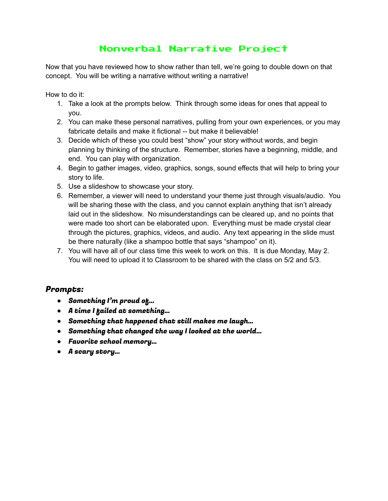## Nonverbal Narrative Project

Now that you have reviewed how to show rather than tell, we're going to double down on that concept. You will be writing a narrative without writing a narrative!

How to do it:

- 1. Take a look at the prompts below. Think through some ideas for ones that appeal to you.
- 2. You can make these personal narratives, pulling from your own experiences, or you may fabricate details and make it fictional -- but make it believable!
- 3. Decide which of these you could best "show" your story without words, and begin planning by thinking of the structure. Remember, stories have a beginning, middle, and end. You can play with organization.
- 4. Begin to gather images, video, graphics, songs, sound effects that will help to bring your story to life.
- 5. Use a slideshow to showcase your story.
- 6. Remember, a viewer will need to understand your theme just through visuals/audio. You will be sharing these with the class, and you cannot explain anything that isn't already laid out in the slideshow. No misunderstandings can be cleared up, and no points that were made too short can be elaborated upon. Everything must be made crystal clear through the pictures, graphics, videos, and audio. Any text appearing in the slide must be there naturally (like a shampoo bottle that says "shampoo" on it).
- 7. You will have all of our class time this week to work on this. It is due Monday, May 2. You will need to upload it to Classroom to be shared with the class on 5/2 and 5/3.

## Prompts:

- Something I'm proud of...
- A time I failed at something…
- Something that happened that still makes me laugh…
- Something that changed the way I looked at the world…
- Favorite school memory…
- A scary story…